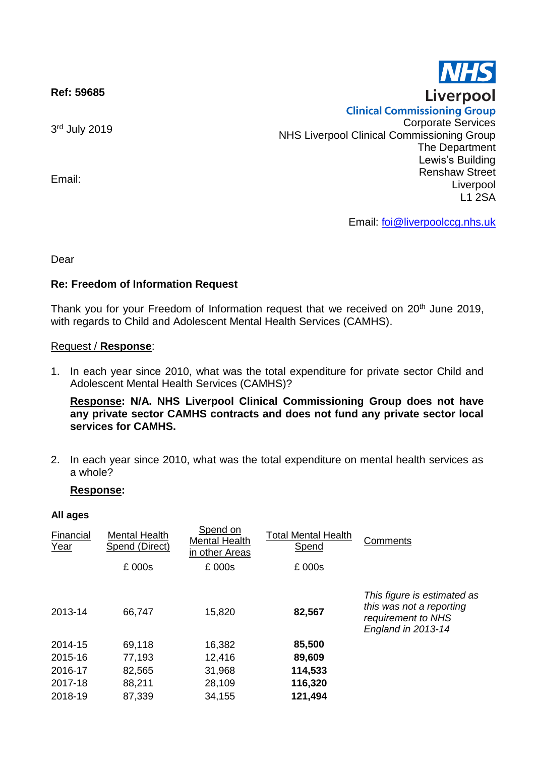**Ref: 59685**

3 rd July 2019

Email:

**Liverpool Clinical Commissioning Group** Corporate Services NHS Liverpool Clinical Commissioning Group The Department Lewis's Building Renshaw Street Liverpool L1 2SA

Email: [foi@liverpoolccg.nhs.uk](mailto:foi@liverpoolccg.nhs.uk)

Dear

# **Re: Freedom of Information Request**

Thank you for your Freedom of Information request that we received on 20<sup>th</sup> June 2019, with regards to Child and Adolescent Mental Health Services (CAMHS).

## Request / **Response**:

1. In each year since 2010, what was the total expenditure for private sector Child and Adolescent Mental Health Services (CAMHS)?

**Response: N/A. NHS Liverpool Clinical Commissioning Group does not have any private sector CAMHS contracts and does not fund any private sector local services for CAMHS.**

2. In each year since 2010, what was the total expenditure on mental health services as a whole?

#### **Response:**

#### **All ages**

| Financial<br>Year | <b>Mental Health</b><br>Spend (Direct) | Spend on<br><b>Mental Health</b><br>in other Areas | <b>Total Mental Health</b><br>Spend | Comments                                                                                                   |
|-------------------|----------------------------------------|----------------------------------------------------|-------------------------------------|------------------------------------------------------------------------------------------------------------|
|                   | £ 000s                                 | £000s                                              | £ 000s                              |                                                                                                            |
| 2013-14           | 66,747                                 | 15,820                                             | 82,567                              | This figure is estimated as<br>this was not a reporting<br>requirement to NHS<br><b>England in 2013-14</b> |
| 2014-15           | 69,118                                 | 16,382                                             | 85,500                              |                                                                                                            |
| 2015-16           | 77,193                                 | 12,416                                             | 89,609                              |                                                                                                            |
| 2016-17           | 82,565                                 | 31,968                                             | 114,533                             |                                                                                                            |
| 2017-18           | 88,211                                 | 28,109                                             | 116,320                             |                                                                                                            |
| 2018-19           | 87,339                                 | 34,155                                             | 121,494                             |                                                                                                            |